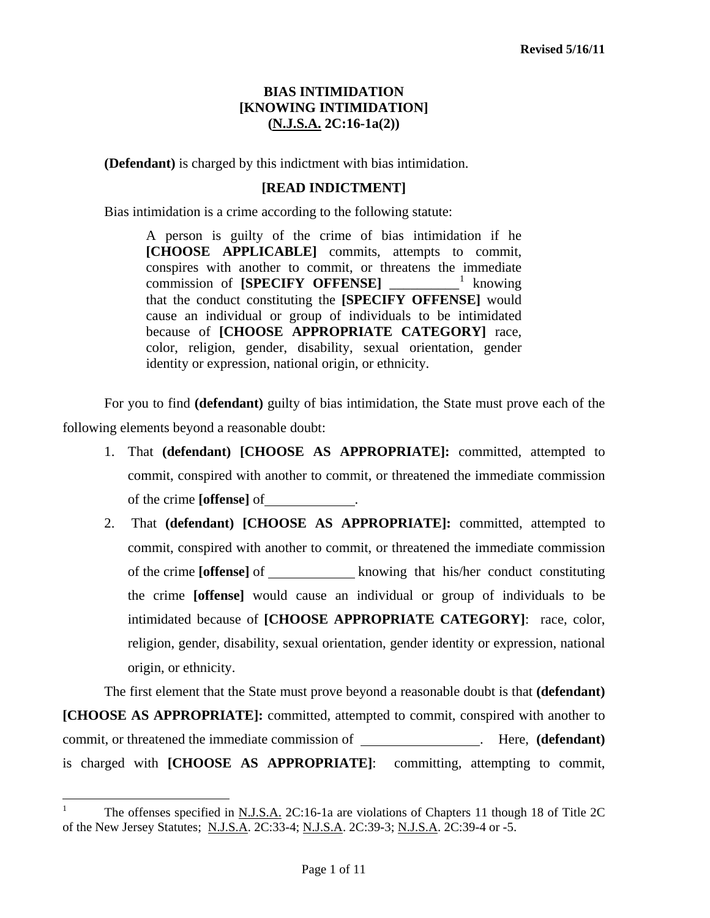**(Defendant)** is charged by this indictment with bias intimidation.

#### **[READ INDICTMENT]**

Bias intimidation is a crime according to the following statute:

A person is guilty of the crime of bias intimidation if he **[CHOOSE APPLICABLE]** commits, attempts to commit, conspires with another to commit, or threatens the immediate commission of **[SPECIFY OFFENSE]** \_\_\_\_\_\_\_\_\_\_[1](#page-1-0) knowing that the conduct constituting the **[SPECIFY OFFENSE]** would cause an individual or group of individuals to be intimidated because of **[CHOOSE APPROPRIATE CATEGORY]** race, color, religion, gender, disability, sexual orientation, gender identity or expression, national origin, or ethnicity.

 For you to find **(defendant)** guilty of bias intimidation, the State must prove each of the following elements beyond a reasonable doubt:

- 1. That **(defendant) [CHOOSE AS APPROPRIATE]:** committed, attempted to commit, conspired with another to commit, or threatened the immediate commission of the crime **[offense]** of .
- 2. That **(defendant) [CHOOSE AS APPROPRIATE]:** committed, attempted to commit, conspired with another to commit, or threatened the immediate commission of the crime **[offense]** of knowing that his/her conduct constituting the crime **[offense]** would cause an individual or group of individuals to be intimidated because of **[CHOOSE APPROPRIATE CATEGORY]**: race, color, religion, gender, disability, sexual orientation, gender identity or expression, national origin, or ethnicity.

The first element that the State must prove beyond a reasonable doubt is that **(defendant) [CHOOSE AS APPROPRIATE]:** committed, attempted to commit, conspired with another to commit, or threatened the immediate commission of \_\_\_\_\_\_\_\_\_\_\_\_\_\_\_\_\_\_\_\_\_. Here, (defendant) is charged with **[CHOOSE AS APPROPRIATE]**: committing, attempting to commit,

<span id="page-0-0"></span> $\overline{a}$ 

<sup>1</sup> The offenses specified in N.J.S.A. 2C:16-1a are violations of Chapters 11 though 18 of Title 2C of the New Jersey Statutes; N.J.S.A. 2C:33-4; N.J.S.A. 2C:39-3; N.J.S.A. 2C:39-4 or -5.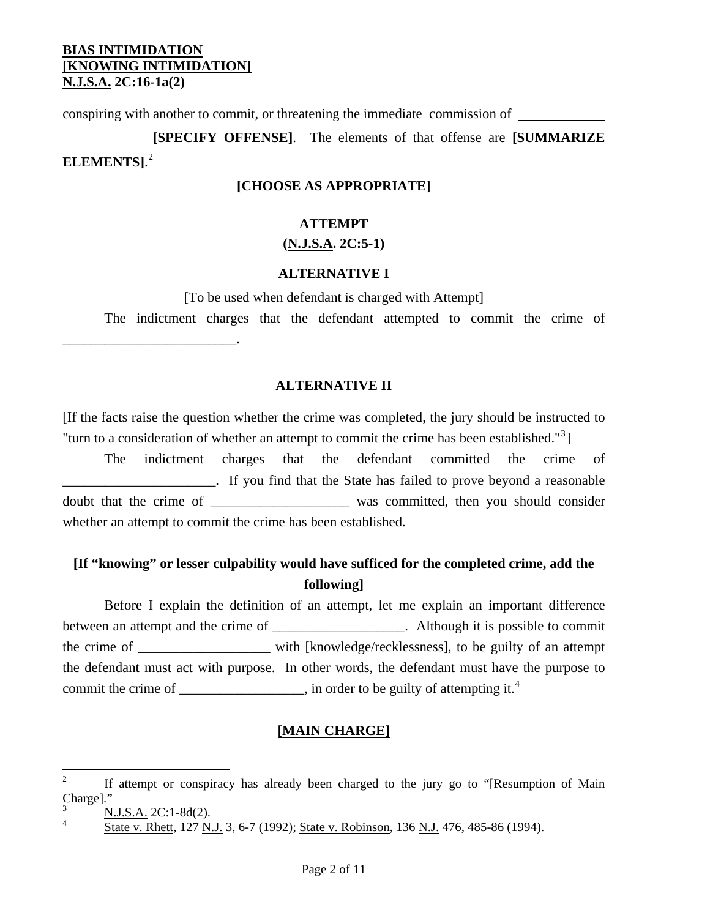\_\_\_\_\_\_\_\_\_\_\_\_\_\_\_\_\_\_\_\_\_\_\_\_\_.

conspiring with another to commit, or threatening the immediate commission of

 **[SPECIFY OFFENSE]**. The elements of that offense are **[SUMMARIZE ELEMENTS]**. [2](#page-0-0)

#### **[CHOOSE AS APPROPRIATE]**

#### **ATTEMPT**

#### **(N.J.S.A. 2C:5-1)**

#### **ALTERNATIVE I**

[To be used when defendant is charged with Attempt]

The indictment charges that the defendant attempted to commit the crime of

#### **ALTERNATIVE II**

[If the facts raise the question whether the crime was completed, the jury should be instructed to "turn to a consideration of whether an attempt to commit the crime has been established." $3$ ]

 The indictment charges that the defendant committed the crime of \_\_\_\_\_\_\_\_\_\_\_\_\_\_\_\_\_\_\_\_\_\_. If you find that the State has failed to prove beyond a reasonable doubt that the crime of \_\_\_\_\_\_\_\_\_\_\_\_\_\_\_\_\_\_\_\_ was committed, then you should consider whether an attempt to commit the crime has been established.

# **[If "knowing" or lesser culpability would have sufficed for the completed crime, add the following]**

 Before I explain the definition of an attempt, let me explain an important difference between an attempt and the crime of \_\_\_\_\_\_\_\_\_\_\_\_\_\_\_\_\_. Although it is possible to commit the crime of \_\_\_\_\_\_\_\_\_\_\_\_\_\_\_\_\_\_\_ with [knowledge/recklessness], to be guilty of an attempt the defendant must act with purpose. In other words, the defendant must have the purpose to commit the crime of  $\qquad \qquad$ , in order to be guilty of attempting it.<sup>[4](#page-1-1)</sup>

#### **[MAIN CHARGE]**

<span id="page-1-2"></span> $\frac{1}{2}$  If attempt or conspiracy has already been charged to the jury go to "[Resumption of Main Charge]."

<span id="page-1-0"></span><sup>3</sup> N.J.S.A. 2C:1-8d(2).

<span id="page-1-1"></span><sup>4</sup> State v. Rhett, 127 N.J. 3, 6-7 (1992); State v. Robinson, 136 N.J. 476, 485-86 (1994).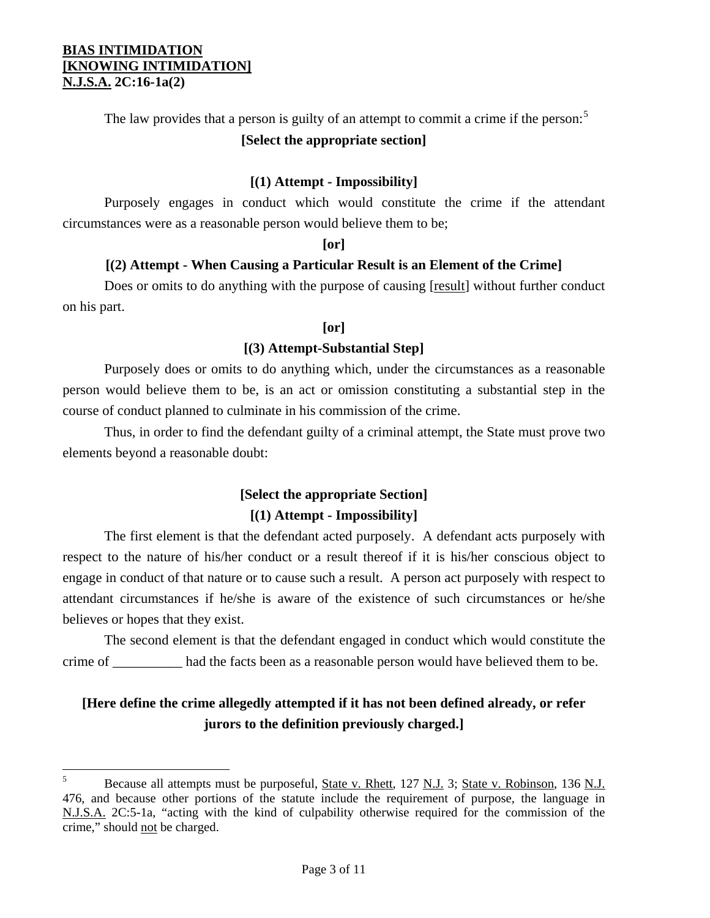$\overline{a}$ 

The law provides that a person is guilty of an attempt to commit a crime if the person: $5$ 

# **[Select the appropriate section]**

## **[(1) Attempt - Impossibility]**

 Purposely engages in conduct which would constitute the crime if the attendant circumstances were as a reasonable person would believe them to be;

## **[or]**

# **[(2) Attempt - When Causing a Particular Result is an Element of the Crime]**

Does or omits to do anything with the purpose of causing [result] without further conduct on his part.

## **[or]**

## **[(3) Attempt-Substantial Step]**

 Purposely does or omits to do anything which, under the circumstances as a reasonable person would believe them to be, is an act or omission constituting a substantial step in the course of conduct planned to culminate in his commission of the crime.

 Thus, in order to find the defendant guilty of a criminal attempt, the State must prove two elements beyond a reasonable doubt:

# **[Select the appropriate Section] [(1) Attempt - Impossibility]**

 The first element is that the defendant acted purposely. A defendant acts purposely with respect to the nature of his/her conduct or a result thereof if it is his/her conscious object to engage in conduct of that nature or to cause such a result. A person act purposely with respect to attendant circumstances if he/she is aware of the existence of such circumstances or he/she believes or hopes that they exist.

 The second element is that the defendant engaged in conduct which would constitute the crime of \_\_\_\_\_\_\_\_\_\_ had the facts been as a reasonable person would have believed them to be.

# **[Here define the crime allegedly attempted if it has not been defined already, or refer jurors to the definition previously charged.]**

<span id="page-2-0"></span><sup>5</sup> Because all attempts must be purposeful, State v. Rhett, 127 N.J. 3; State v. Robinson, 136 N.J. 476, and because other portions of the statute include the requirement of purpose, the language in N.J.S.A. 2C:5-1a, "acting with the kind of culpability otherwise required for the commission of the crime," should not be charged.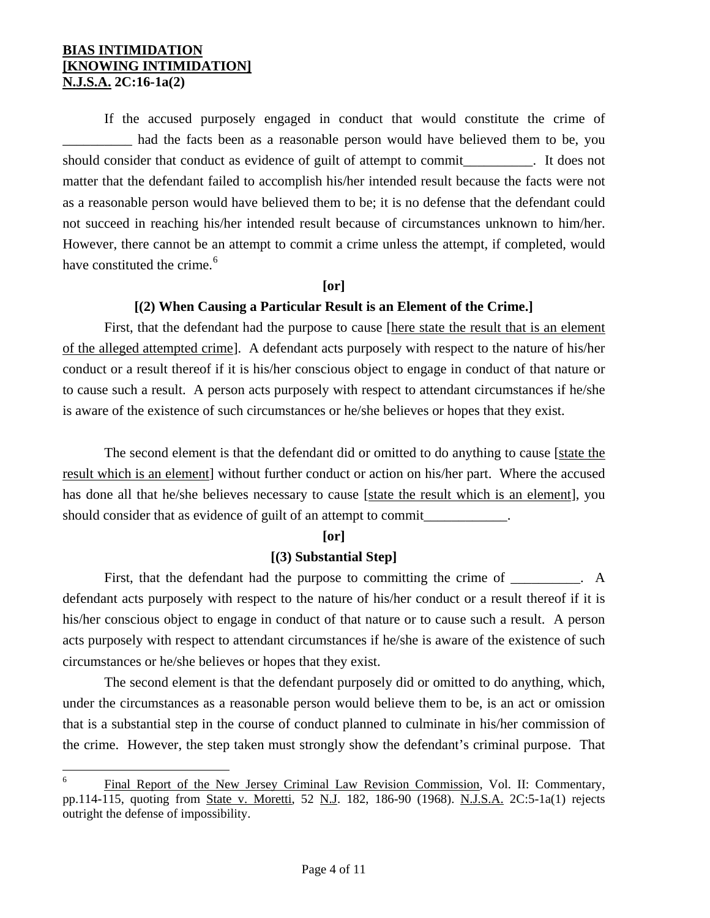1

 If the accused purposely engaged in conduct that would constitute the crime of \_\_\_\_\_\_\_\_\_\_ had the facts been as a reasonable person would have believed them to be, you should consider that conduct as evidence of guilt of attempt to commit example in the state of guilt of attempt to commit matter that the defendant failed to accomplish his/her intended result because the facts were not as a reasonable person would have believed them to be; it is no defense that the defendant could not succeed in reaching his/her intended result because of circumstances unknown to him/her. However, there cannot be an attempt to commit a crime unless the attempt, if completed, would have constituted the crime.<sup>[6](#page-2-0)</sup>

#### **[or]**

#### **[(2) When Causing a Particular Result is an Element of the Crime.]**

First, that the defendant had the purpose to cause [here state the result that is an element of the alleged attempted crime]. A defendant acts purposely with respect to the nature of his/her conduct or a result thereof if it is his/her conscious object to engage in conduct of that nature or to cause such a result. A person acts purposely with respect to attendant circumstances if he/she is aware of the existence of such circumstances or he/she believes or hopes that they exist.

The second element is that the defendant did or omitted to do anything to cause [state the result which is an element] without further conduct or action on his/her part. Where the accused has done all that he/she believes necessary to cause [state the result which is an element], you should consider that as evidence of guilt of an attempt to commit

#### **[or]**

#### **[(3) Substantial Step]**

First, that the defendant had the purpose to committing the crime of \_\_\_\_\_\_\_\_. A defendant acts purposely with respect to the nature of his/her conduct or a result thereof if it is his/her conscious object to engage in conduct of that nature or to cause such a result. A person acts purposely with respect to attendant circumstances if he/she is aware of the existence of such circumstances or he/she believes or hopes that they exist.

 The second element is that the defendant purposely did or omitted to do anything, which, under the circumstances as a reasonable person would believe them to be, is an act or omission that is a substantial step in the course of conduct planned to culminate in his/her commission of the crime. However, the step taken must strongly show the defendant's criminal purpose. That

<span id="page-3-0"></span><sup>6</sup> Final Report of the New Jersey Criminal Law Revision Commission, Vol. II: Commentary, pp.114-115, quoting from State v. Moretti, 52 N.J. 182, 186-90 (1968). N.J.S.A. 2C:5-1a(1) rejects outright the defense of impossibility.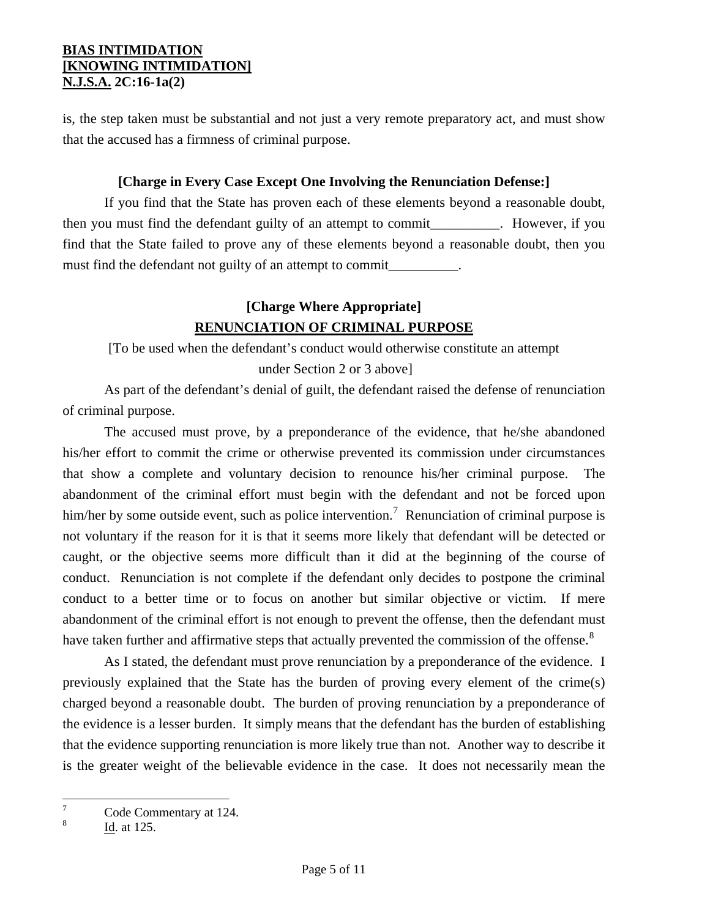is, the step taken must be substantial and not just a very remote preparatory act, and must show that the accused has a firmness of criminal purpose.

## **[Charge in Every Case Except One Involving the Renunciation Defense:]**

 If you find that the State has proven each of these elements beyond a reasonable doubt, then you must find the defendant guilty of an attempt to commit\_\_\_\_\_\_\_\_\_\_. However, if you find that the State failed to prove any of these elements beyond a reasonable doubt, then you must find the defendant not guilty of an attempt to commit\_\_\_\_\_\_\_\_\_\_\_\_\_\_\_\_\_\_\_\_\_\_\_

# **[Charge Where Appropriate] RENUNCIATION OF CRIMINAL PURPOSE**

[To be used when the defendant's conduct would otherwise constitute an attempt

under Section 2 or 3 above]

 As part of the defendant's denial of guilt, the defendant raised the defense of renunciation of criminal purpose.

 The accused must prove, by a preponderance of the evidence, that he/she abandoned his/her effort to commit the crime or otherwise prevented its commission under circumstances that show a complete and voluntary decision to renounce his/her criminal purpose. The abandonment of the criminal effort must begin with the defendant and not be forced upon him/her by some outside event, such as police intervention.<sup>[7](#page-3-0)</sup> Renunciation of criminal purpose is not voluntary if the reason for it is that it seems more likely that defendant will be detected or caught, or the objective seems more difficult than it did at the beginning of the course of conduct. Renunciation is not complete if the defendant only decides to postpone the criminal conduct to a better time or to focus on another but similar objective or victim. If mere abandonment of the criminal effort is not enough to prevent the offense, then the defendant must have taken further and affirmative steps that actually prevented the commission of the offense.<sup>[8](#page-4-0)</sup>

 As I stated, the defendant must prove renunciation by a preponderance of the evidence. I previously explained that the State has the burden of proving every element of the crime(s) charged beyond a reasonable doubt. The burden of proving renunciation by a preponderance of the evidence is a lesser burden. It simply means that the defendant has the burden of establishing that the evidence supporting renunciation is more likely true than not. Another way to describe it is the greater weight of the believable evidence in the case. It does not necessarily mean the

<sup>-&</sup>lt;br>7 Code Commentary at 124.

<span id="page-4-1"></span><span id="page-4-0"></span><sup>8</sup> Id. at 125.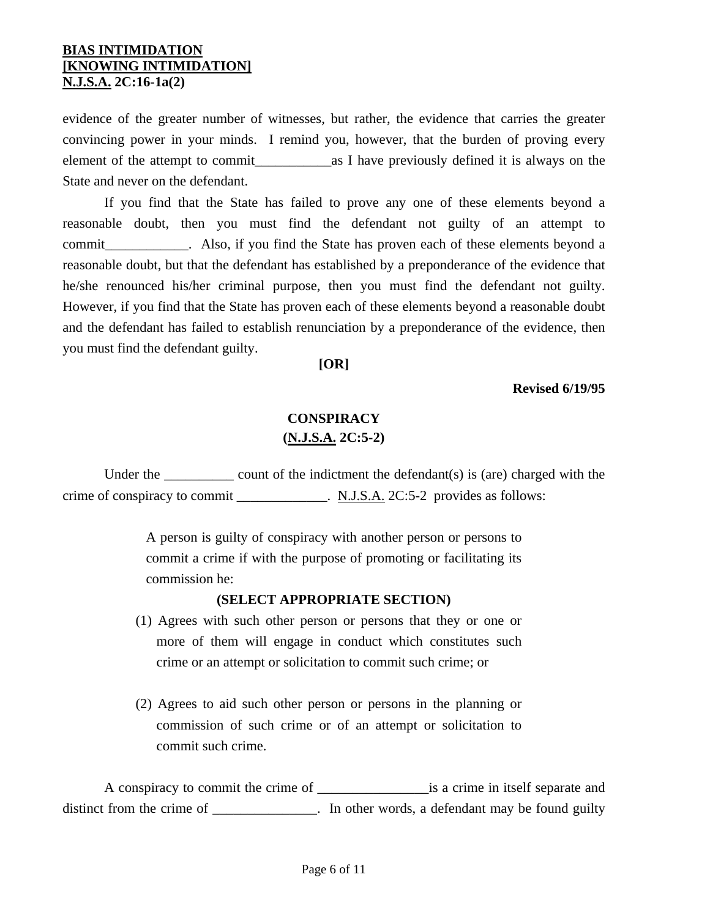evidence of the greater number of witnesses, but rather, the evidence that carries the greater convincing power in your minds. I remind you, however, that the burden of proving every element of the attempt to commit as I have previously defined it is always on the State and never on the defendant.

 If you find that the State has failed to prove any one of these elements beyond a reasonable doubt, then you must find the defendant not guilty of an attempt to commit example of the State has proven each of these elements beyond a commit reasonable doubt, but that the defendant has established by a preponderance of the evidence that he/she renounced his/her criminal purpose, then you must find the defendant not guilty. However, if you find that the State has proven each of these elements beyond a reasonable doubt and the defendant has failed to establish renunciation by a preponderance of the evidence, then you must find the defendant guilty.

**[OR]** 

**Revised 6/19/95** 

# **CONSPIRACY (N.J.S.A. 2C:5-2)**

Under the  $\qquad \qquad \qquad \qquad \qquad \qquad \text{count of the indictment the defendant(s) is (are) charged with the\n}$ crime of conspiracy to commit \_\_\_\_\_\_\_\_\_\_\_\_\_. N.J.S.A. 2C:5-2 provides as follows:

> A person is guilty of conspiracy with another person or persons to commit a crime if with the purpose of promoting or facilitating its commission he:

#### **(SELECT APPROPRIATE SECTION)**

- (1) Agrees with such other person or persons that they or one or more of them will engage in conduct which constitutes such crime or an attempt or solicitation to commit such crime; or
- (2) Agrees to aid such other person or persons in the planning or commission of such crime or of an attempt or solicitation to commit such crime.

 A conspiracy to commit the crime of \_\_\_\_\_\_\_\_\_\_\_\_\_\_\_\_is a crime in itself separate and distinct from the crime of \_\_\_\_\_\_\_\_\_\_\_\_\_. In other words, a defendant may be found guilty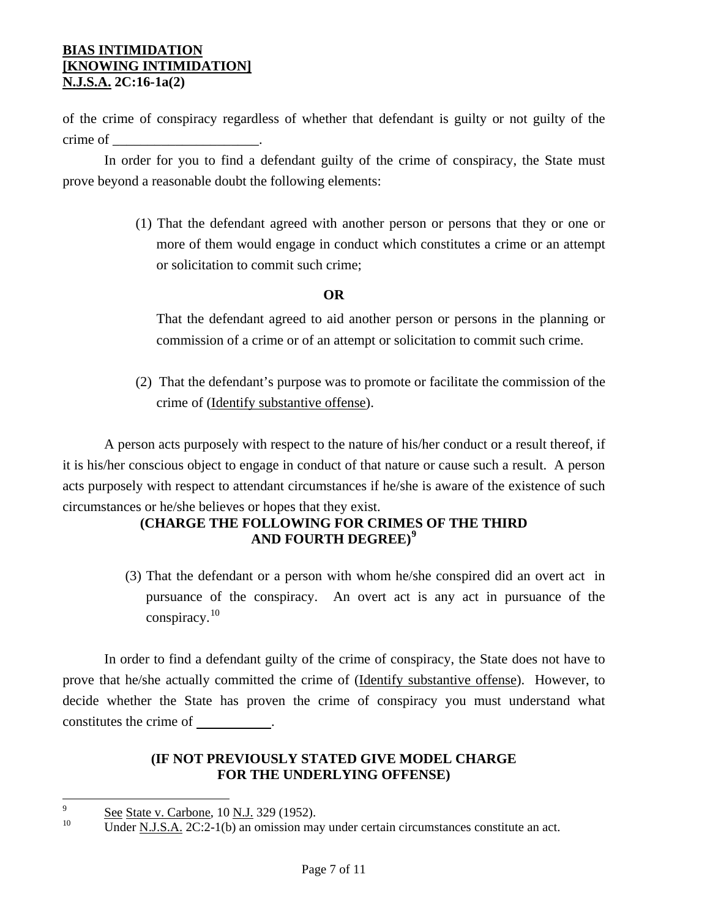of the crime of conspiracy regardless of whether that defendant is guilty or not guilty of the crime of \_\_\_\_\_\_\_\_\_\_\_\_\_\_\_\_\_\_\_\_\_.

 In order for you to find a defendant guilty of the crime of conspiracy, the State must prove beyond a reasonable doubt the following elements:

> (1) That the defendant agreed with another person or persons that they or one or more of them would engage in conduct which constitutes a crime or an attempt or solicitation to commit such crime;

## **OR**

That the defendant agreed to aid another person or persons in the planning or commission of a crime or of an attempt or solicitation to commit such crime.

(2) That the defendant's purpose was to promote or facilitate the commission of the crime of (Identify substantive offense).

 A person acts purposely with respect to the nature of his/her conduct or a result thereof, if it is his/her conscious object to engage in conduct of that nature or cause such a result. A person acts purposely with respect to attendant circumstances if he/she is aware of the existence of such circumstances or he/she believes or hopes that they exist.

# **(CHARGE THE FOLLOWING FOR CRIMES OF THE THIRD AND FOURTH DEGREE)[9](#page-4-1)**

(3) That the defendant or a person with whom he/she conspired did an overt act in pursuance of the conspiracy. An overt act is any act in pursuance of the conspiracy.<sup>[10](#page-6-0)</sup>

 In order to find a defendant guilty of the crime of conspiracy, the State does not have to prove that he/she actually committed the crime of (Identify substantive offense). However, to decide whether the State has proven the crime of conspiracy you must understand what constitutes the crime of  $\cdot$ 

## **(IF NOT PREVIOUSLY STATED GIVE MODEL CHARGE FOR THE UNDERLYING OFFENSE)**

<span id="page-6-1"></span><sup>-&</sup>lt;br>9  $\frac{See}{10}$  See State v. Carbone, 10 N.J. 329 (1952).

<span id="page-6-0"></span>Under N.J.S.A. 2C:2-1(b) an omission may under certain circumstances constitute an act.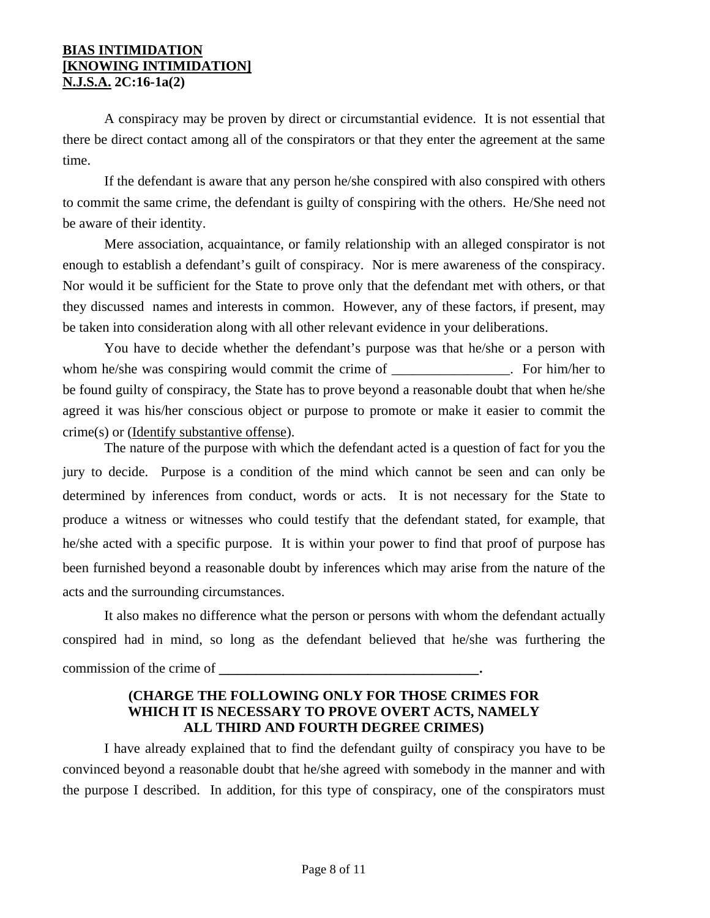A conspiracy may be proven by direct or circumstantial evidence. It is not essential that there be direct contact among all of the conspirators or that they enter the agreement at the same time.

 If the defendant is aware that any person he/she conspired with also conspired with others to commit the same crime, the defendant is guilty of conspiring with the others. He/She need not be aware of their identity.

 Mere association, acquaintance, or family relationship with an alleged conspirator is not enough to establish a defendant's guilt of conspiracy. Nor is mere awareness of the conspiracy. Nor would it be sufficient for the State to prove only that the defendant met with others, or that they discussed names and interests in common. However, any of these factors, if present, may be taken into consideration along with all other relevant evidence in your deliberations.

 You have to decide whether the defendant's purpose was that he/she or a person with whom he/she was conspiring would commit the crime of \_\_\_\_\_\_\_\_\_\_\_\_\_\_\_. For him/her to be found guilty of conspiracy, the State has to prove beyond a reasonable doubt that when he/she agreed it was his/her conscious object or purpose to promote or make it easier to commit the crime(s) or (Identify substantive offense).

 The nature of the purpose with which the defendant acted is a question of fact for you the jury to decide. Purpose is a condition of the mind which cannot be seen and can only be determined by inferences from conduct, words or acts. It is not necessary for the State to produce a witness or witnesses who could testify that the defendant stated, for example, that he/she acted with a specific purpose. It is within your power to find that proof of purpose has been furnished beyond a reasonable doubt by inferences which may arise from the nature of the acts and the surrounding circumstances.

It also makes no difference what the person or persons with whom the defendant actually conspired had in mind, so long as the defendant believed that he/she was furthering the commission of the crime of \_\_\_\_\_\_\_\_\_\_\_\_\_\_\_\_\_\_\_\_\_\_\_\_\_\_\_\_.

## **(CHARGE THE FOLLOWING ONLY FOR THOSE CRIMES FOR WHICH IT IS NECESSARY TO PROVE OVERT ACTS, NAMELY ALL THIRD AND FOURTH DEGREE CRIMES)**

 I have already explained that to find the defendant guilty of conspiracy you have to be convinced beyond a reasonable doubt that he/she agreed with somebody in the manner and with the purpose I described. In addition, for this type of conspiracy, one of the conspirators must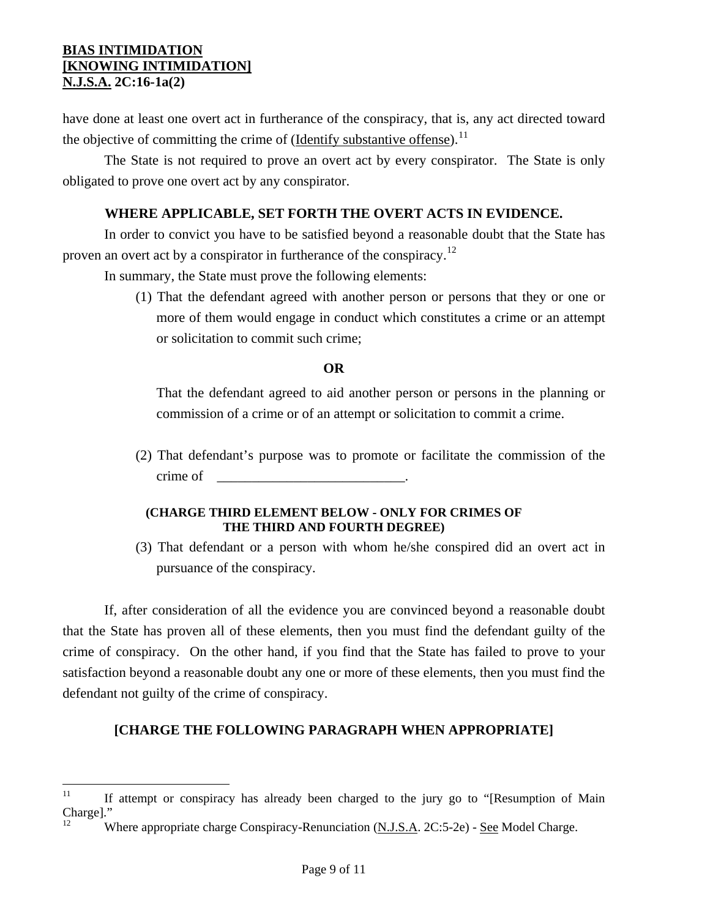have done at least one overt act in furtherance of the conspiracy, that is, any act directed toward the objective of committing the crime of (<u>Identify substantive offense</u>).<sup>[11](#page-6-1)</sup>

 The State is not required to prove an overt act by every conspirator. The State is only obligated to prove one overt act by any conspirator.

## **WHERE APPLICABLE, SET FORTH THE OVERT ACTS IN EVIDENCE.**

 In order to convict you have to be satisfied beyond a reasonable doubt that the State has proven an overt act by a conspirator in furtherance of the conspiracy.<sup>[12](#page-8-0)</sup>

In summary, the State must prove the following elements:

(1) That the defendant agreed with another person or persons that they or one or more of them would engage in conduct which constitutes a crime or an attempt or solicitation to commit such crime;

#### **OR**

That the defendant agreed to aid another person or persons in the planning or commission of a crime or of an attempt or solicitation to commit a crime.

(2) That defendant's purpose was to promote or facilitate the commission of the crime of

#### **(CHARGE THIRD ELEMENT BELOW - ONLY FOR CRIMES OF THE THIRD AND FOURTH DEGREE)**

(3) That defendant or a person with whom he/she conspired did an overt act in pursuance of the conspiracy.

 If, after consideration of all the evidence you are convinced beyond a reasonable doubt that the State has proven all of these elements, then you must find the defendant guilty of the crime of conspiracy. On the other hand, if you find that the State has failed to prove to your satisfaction beyond a reasonable doubt any one or more of these elements, then you must find the defendant not guilty of the crime of conspiracy.

## **[CHARGE THE FOLLOWING PARAGRAPH WHEN APPROPRIATE]**

<span id="page-8-1"></span> $11$ 11 If attempt or conspiracy has already been charged to the jury go to "[Resumption of Main Charge]."

<span id="page-8-0"></span>Where appropriate charge Conspiracy-Renunciation (N.J.S.A. 2C:5-2e) - See Model Charge.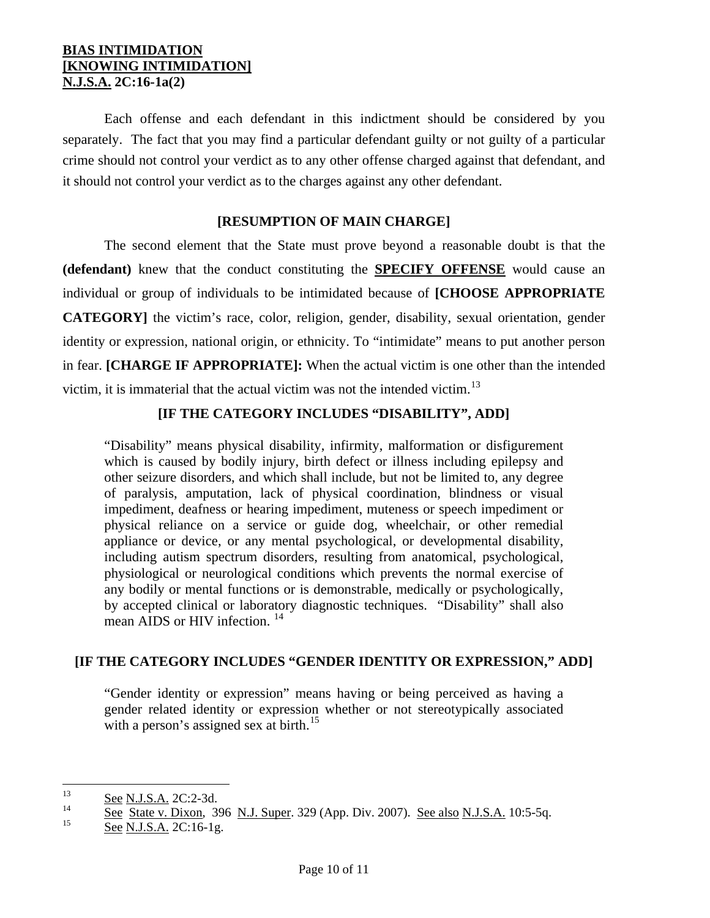Each offense and each defendant in this indictment should be considered by you separately. The fact that you may find a particular defendant guilty or not guilty of a particular crime should not control your verdict as to any other offense charged against that defendant, and it should not control your verdict as to the charges against any other defendant.

#### **[RESUMPTION OF MAIN CHARGE]**

 The second element that the State must prove beyond a reasonable doubt is that the **(defendant)** knew that the conduct constituting the **SPECIFY OFFENSE** would cause an individual or group of individuals to be intimidated because of **[CHOOSE APPROPRIATE CATEGORY]** the victim's race, color, religion, gender, disability, sexual orientation, gender identity or expression, national origin, or ethnicity. To "intimidate" means to put another person in fear. **[CHARGE IF APPROPRIATE]:** When the actual victim is one other than the intended victim, it is immaterial that the actual victim was not the intended victim.[13](#page-8-1)

## **[IF THE CATEGORY INCLUDES "DISABILITY", ADD]**

"Disability" means physical disability, infirmity, malformation or disfigurement which is caused by bodily injury, birth defect or illness including epilepsy and other seizure disorders, and which shall include, but not be limited to, any degree of paralysis, amputation, lack of physical coordination, blindness or visual impediment, deafness or hearing impediment, muteness or speech impediment or physical reliance on a service or guide dog, wheelchair, or other remedial appliance or device, or any mental psychological, or developmental disability, including autism spectrum disorders, resulting from anatomical, psychological, physiological or neurological conditions which prevents the normal exercise of any bodily or mental functions or is demonstrable, medically or psychologically, by accepted clinical or laboratory diagnostic techniques. "Disability" shall also mean AIDS or HIV infection.<sup>[14](#page-9-0)</sup>

## **[IF THE CATEGORY INCLUDES "GENDER IDENTITY OR EXPRESSION," ADD]**

"Gender identity or expression" means having or being perceived as having a gender related identity or expression whether or not stereotypically associated with a person's assigned sex at birth.<sup>[15](#page-9-1)</sup>

<sup>13</sup>  $\frac{13}{14}$  See N.J.S.A. 2C:2-3d.

<span id="page-9-0"></span> $\frac{14}{15}$  See State v. Dixon, 396 N.J. Super. 329 (App. Div. 2007). See also N.J.S.A. 10:5-5q.

<span id="page-9-1"></span>See N.J.S.A. 2C:16-1g.